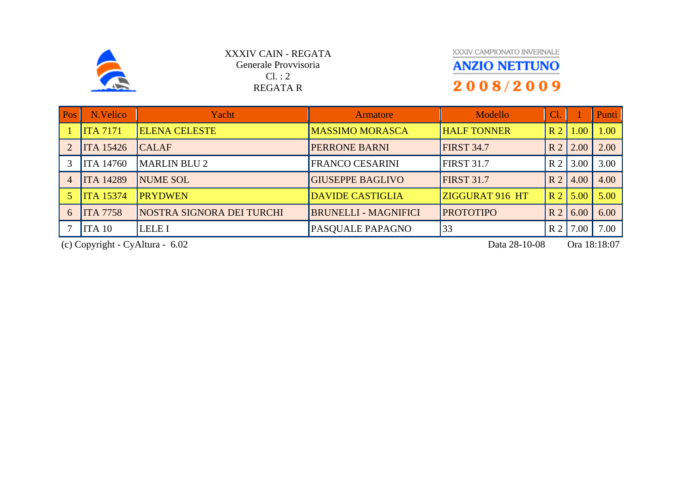

XXXIV CAIN - REGATA Generale Provvisoria Cl. : 2 REGATA R

## XXXIV CAMPIONATO INVERNALE **ANZIO NETTUNO** 2008/2009

| Pos            | N.Velico         | Yacht                     | Armatore                    | Modello            | $ Cl\rangle$   |      | Punti |
|----------------|------------------|---------------------------|-----------------------------|--------------------|----------------|------|-------|
|                | ITA 7171         | <b>ELENA CELESTE</b>      | <b>MASSIMO MORASCA</b>      | <b>HALF TONNER</b> | R <sub>2</sub> | 1.00 | 1.00  |
|                | <b>ITA 15426</b> | <b>CALAF</b>              | <b>PERRONE BARNI</b>        | <b>FIRST 34.7</b>  | R <sub>2</sub> | 2.00 | 2.00  |
| 3              | <b>ITA 14760</b> | <b>MARLIN BLU 2</b>       | <b>FRANCO CESARINI</b>      | <b>FIRST 31.7</b>  | R <sub>2</sub> | 3.00 | 3.00  |
| $\overline{4}$ | <b>ITA 14289</b> | <b>NUME SOL</b>           | <b>GIUSEPPE BAGLIVO</b>     | <b>FIRST 31.7</b>  | R <sub>2</sub> | 4.00 | 4.00  |
|                | <b>ITA</b> 15374 | <b>PRYDWEN</b>            | <b>DAVIDE CASTIGLIA</b>     | ZIGGURAT 916 HT    | R <sub>2</sub> | 5.00 | 5.00  |
| 6              | <b>ITA 7758</b>  | NOSTRA SIGNORA DEI TURCHI | <b>BRUNELLI - MAGNIFICI</b> | <b>PROTOTIPO</b>   | R <sub>2</sub> | 6.00 | 6.00  |
|                | ITA10            | <b>LELE I</b>             | PASQUALE PAPAGNO            | 33                 | R <sub>2</sub> | 7.00 | 7.00  |

(c) Copyright - CyAltura - 6.02 Data 28-10-08 Ora 18:18:07